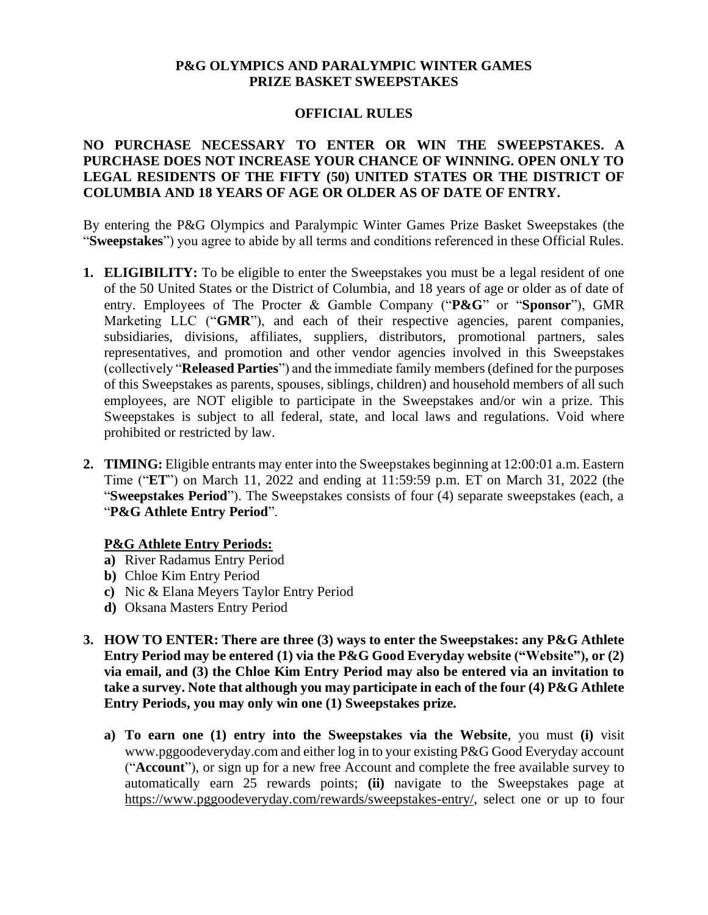#### **P&G OLYMPICS AND PARALYMPIC WINTER GAMES PRIZE BASKET SWEEPSTAKES**

## **OFFICIAL RULES**

# **NO PURCHASE NECESSARY TO ENTER OR WIN THE SWEEPSTAKES. A PURCHASE DOES NOT INCREASE YOUR CHANCE OF WINNING. OPEN ONLY TO LEGAL RESIDENTS OF THE FIFTY (50) UNITED STATES OR THE DISTRICT OF COLUMBIA AND 18 YEARS OF AGE OR OLDER AS OF DATE OF ENTRY.**

By entering the P&G Olympics and Paralympic Winter Games Prize Basket Sweepstakes (the "**Sweepstakes**") you agree to abide by all terms and conditions referenced in these Official Rules.

- **1. ELIGIBILITY:** To be eligible to enter the Sweepstakes you must be a legal resident of one of the 50 United States or the District of Columbia, and 18 years of age or older as of date of entry. Employees of The Procter & Gamble Company ("**P&G**" or "**Sponsor**"), GMR Marketing LLC ("GMR"), and each of their respective agencies, parent companies, subsidiaries, divisions, affiliates, suppliers, distributors, promotional partners, sales representatives, and promotion and other vendor agencies involved in this Sweepstakes (collectively "**Released Parties**") and the immediate family members (defined for the purposes of this Sweepstakes as parents, spouses, siblings, children) and household members of all such employees, are NOT eligible to participate in the Sweepstakes and/or win a prize. This Sweepstakes is subject to all federal, state, and local laws and regulations. Void where prohibited or restricted by law.
- **2. TIMING:** Eligible entrants may enter into the Sweepstakes beginning at 12:00:01 a.m. Eastern Time ("**ET**") on March 11, 2022 and ending at 11:59:59 p.m. ET on March 31, 2022 (the "**Sweepstakes Period**"). The Sweepstakes consists of four (4) separate sweepstakes (each, a "**P&G Athlete Entry Period**".

## **P&G Athlete Entry Periods:**

- **a)** River Radamus Entry Period
- **b)** Chloe Kim Entry Period
- **c)** Nic & Elana Meyers Taylor Entry Period
- **d)** Oksana Masters Entry Period
- **3. HOW TO ENTER: There are three (3) ways to enter the Sweepstakes: any P&G Athlete Entry Period may be entered (1) via the P&G Good Everyday website ("Website"), or (2) via email, and (3) the Chloe Kim Entry Period may also be entered via an invitation to take a survey. Note that although you may participate in each of the four (4) P&G Athlete Entry Periods, you may only win one (1) Sweepstakes prize.** 
	- **a) To earn one (1) entry into the Sweepstakes via the Website**, you must **(i)** visit www.pggoodeveryday.com and either log in to your existing P&G Good Everyday account ("**Account**"), or sign up for a new free Account and complete the free available survey to automatically earn 25 rewards points; **(ii)** navigate to the Sweepstakes page at [https://www.pggoodeveryday.com/rewards/sweepstakes-entry/,](https://urldefense.com/v3/__https:/www.pggoodeveryday.com/rewards/sweepstakes-entry/__;!!HhhKMSGjjQV-!oRKsf-e_bS0nDXrNPL5k40Zs-rOfw056rtXeOe05fFexMjI8xcFq_A_eRW1nUIDHM6A$) select one or up to four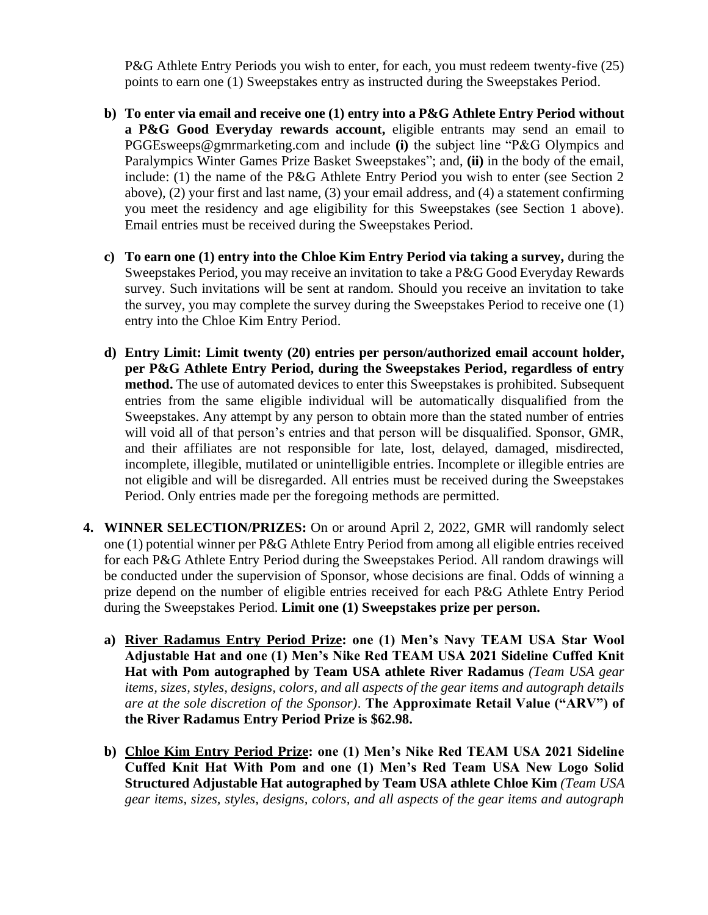P&G Athlete Entry Periods you wish to enter, for each, you must redeem twenty-five (25) points to earn one (1) Sweepstakes entry as instructed during the Sweepstakes Period.

- **b) To enter via email and receive one (1) entry into a P&G Athlete Entry Period without a P&G Good Everyday rewards account,** eligible entrants may send an email to PGGEsweeps@gmrmarketing.com and include **(i)** the subject line "P&G Olympics and Paralympics Winter Games Prize Basket Sweepstakes"; and, **(ii)** in the body of the email, include: (1) the name of the P&G Athlete Entry Period you wish to enter (see Section 2 above), (2) your first and last name, (3) your email address, and (4) a statement confirming you meet the residency and age eligibility for this Sweepstakes (see Section 1 above). Email entries must be received during the Sweepstakes Period.
- **c) To earn one (1) entry into the Chloe Kim Entry Period via taking a survey,** during the Sweepstakes Period, you may receive an invitation to take a P&G Good Everyday Rewards survey. Such invitations will be sent at random. Should you receive an invitation to take the survey, you may complete the survey during the Sweepstakes Period to receive one (1) entry into the Chloe Kim Entry Period.
- **d) Entry Limit: Limit twenty (20) entries per person/authorized email account holder, per P&G Athlete Entry Period, during the Sweepstakes Period, regardless of entry method.** The use of automated devices to enter this Sweepstakes is prohibited. Subsequent entries from the same eligible individual will be automatically disqualified from the Sweepstakes. Any attempt by any person to obtain more than the stated number of entries will void all of that person's entries and that person will be disqualified. Sponsor, GMR, and their affiliates are not responsible for late, lost, delayed, damaged, misdirected, incomplete, illegible, mutilated or unintelligible entries. Incomplete or illegible entries are not eligible and will be disregarded. All entries must be received during the Sweepstakes Period. Only entries made per the foregoing methods are permitted.
- **4. WINNER SELECTION/PRIZES:** On or around April 2, 2022, GMR will randomly select one (1) potential winner per P&G Athlete Entry Period from among all eligible entries received for each P&G Athlete Entry Period during the Sweepstakes Period. All random drawings will be conducted under the supervision of Sponsor, whose decisions are final. Odds of winning a prize depend on the number of eligible entries received for each P&G Athlete Entry Period during the Sweepstakes Period. **Limit one (1) Sweepstakes prize per person.**
	- **a) River Radamus Entry Period Prize: one (1) Men's Navy TEAM USA Star Wool Adjustable Hat and one (1) Men's Nike Red TEAM USA 2021 Sideline Cuffed Knit Hat with Pom autographed by Team USA athlete River Radamus** *(Team USA gear items, sizes, styles, designs, colors, and all aspects of the gear items and autograph details are at the sole discretion of the Sponsor)*. **The Approximate Retail Value ("ARV") of the River Radamus Entry Period Prize is \$62.98.**
	- **b) Chloe Kim Entry Period Prize: one (1) Men's Nike Red TEAM USA 2021 Sideline Cuffed Knit Hat With Pom and one (1) Men's Red Team USA New Logo Solid Structured Adjustable Hat autographed by Team USA athlete Chloe Kim** *(Team USA gear items, sizes, styles, designs, colors, and all aspects of the gear items and autograph*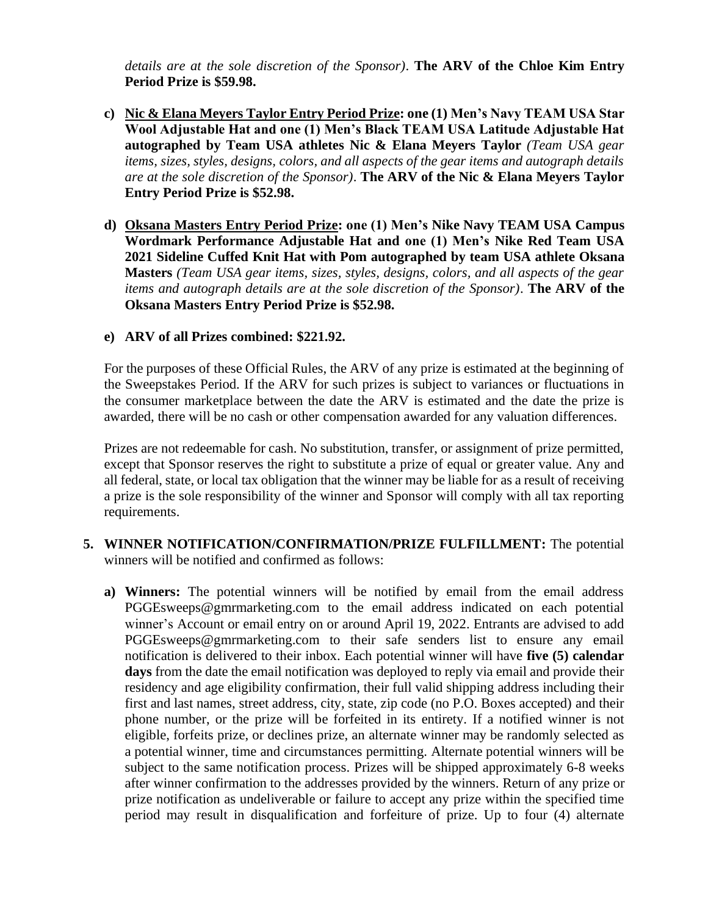*details are at the sole discretion of the Sponsor)*. **The ARV of the Chloe Kim Entry Period Prize is \$59.98.** 

- **c) Nic & Elana Meyers Taylor Entry Period Prize: one (1) Men's Navy TEAM USA Star Wool Adjustable Hat and one (1) Men's Black TEAM USA Latitude Adjustable Hat autographed by Team USA athletes Nic & Elana Meyers Taylor** *(Team USA gear items, sizes, styles, designs, colors, and all aspects of the gear items and autograph details are at the sole discretion of the Sponsor)*. **The ARV of the Nic & Elana Meyers Taylor Entry Period Prize is \$52.98.**
- **d) Oksana Masters Entry Period Prize: one (1) Men's Nike Navy TEAM USA Campus Wordmark Performance Adjustable Hat and one (1) Men's Nike Red Team USA 2021 Sideline Cuffed Knit Hat with Pom autographed by team USA athlete Oksana Masters** *(Team USA gear items, sizes, styles, designs, colors, and all aspects of the gear items and autograph details are at the sole discretion of the Sponsor)*. **The ARV of the Oksana Masters Entry Period Prize is \$52.98.**

# **e) ARV of all Prizes combined: \$221.92.**

For the purposes of these Official Rules, the ARV of any prize is estimated at the beginning of the Sweepstakes Period. If the ARV for such prizes is subject to variances or fluctuations in the consumer marketplace between the date the ARV is estimated and the date the prize is awarded, there will be no cash or other compensation awarded for any valuation differences.

Prizes are not redeemable for cash. No substitution, transfer, or assignment of prize permitted, except that Sponsor reserves the right to substitute a prize of equal or greater value. Any and all federal, state, or local tax obligation that the winner may be liable for as a result of receiving a prize is the sole responsibility of the winner and Sponsor will comply with all tax reporting requirements.

- **5. WINNER NOTIFICATION/CONFIRMATION/PRIZE FULFILLMENT:** The potential winners will be notified and confirmed as follows:
	- **a) Winners:** The potential winners will be notified by email from the email address PGGEsweeps@gmrmarketing.com to the email address indicated on each potential winner's Account or email entry on or around April 19, 2022. Entrants are advised to add PGGEsweeps@gmrmarketing.com to their safe senders list to ensure any email notification is delivered to their inbox. Each potential winner will have **five (5) calendar days** from the date the email notification was deployed to reply via email and provide their residency and age eligibility confirmation, their full valid shipping address including their first and last names, street address, city, state, zip code (no P.O. Boxes accepted) and their phone number, or the prize will be forfeited in its entirety. If a notified winner is not eligible, forfeits prize, or declines prize, an alternate winner may be randomly selected as a potential winner, time and circumstances permitting. Alternate potential winners will be subject to the same notification process. Prizes will be shipped approximately 6-8 weeks after winner confirmation to the addresses provided by the winners. Return of any prize or prize notification as undeliverable or failure to accept any prize within the specified time period may result in disqualification and forfeiture of prize. Up to four (4) alternate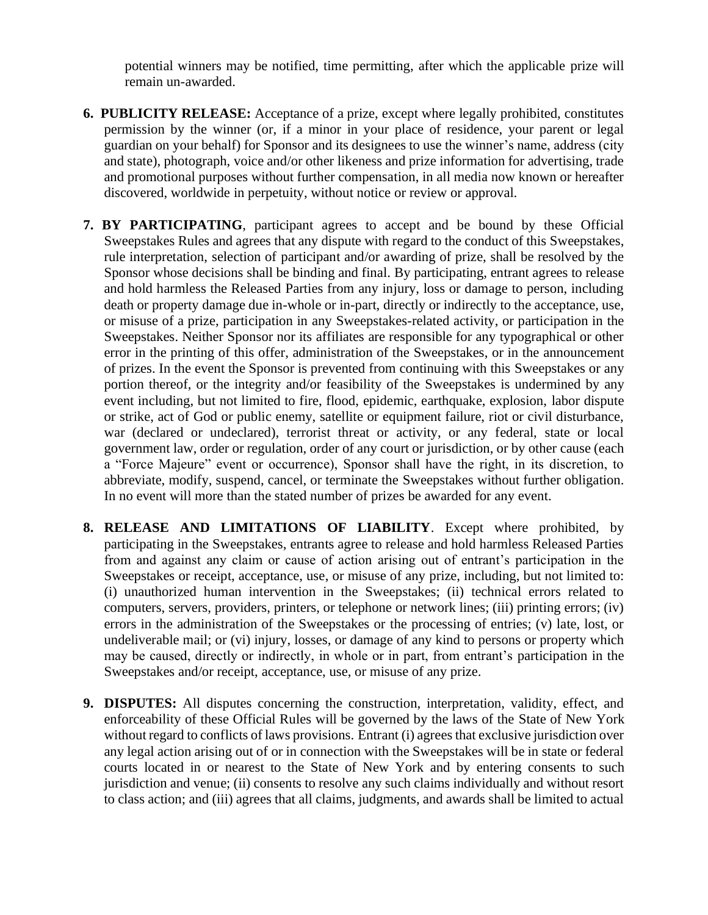potential winners may be notified, time permitting, after which the applicable prize will remain un-awarded.

- **6. PUBLICITY RELEASE:** Acceptance of a prize, except where legally prohibited, constitutes permission by the winner (or, if a minor in your place of residence, your parent or legal guardian on your behalf) for Sponsor and its designees to use the winner's name, address (city and state), photograph, voice and/or other likeness and prize information for advertising, trade and promotional purposes without further compensation, in all media now known or hereafter discovered, worldwide in perpetuity, without notice or review or approval.
- **7. BY PARTICIPATING**, participant agrees to accept and be bound by these Official Sweepstakes Rules and agrees that any dispute with regard to the conduct of this Sweepstakes, rule interpretation, selection of participant and/or awarding of prize, shall be resolved by the Sponsor whose decisions shall be binding and final. By participating, entrant agrees to release and hold harmless the Released Parties from any injury, loss or damage to person, including death or property damage due in-whole or in-part, directly or indirectly to the acceptance, use, or misuse of a prize, participation in any Sweepstakes-related activity, or participation in the Sweepstakes. Neither Sponsor nor its affiliates are responsible for any typographical or other error in the printing of this offer, administration of the Sweepstakes, or in the announcement of prizes. In the event the Sponsor is prevented from continuing with this Sweepstakes or any portion thereof, or the integrity and/or feasibility of the Sweepstakes is undermined by any event including, but not limited to fire, flood, epidemic, earthquake, explosion, labor dispute or strike, act of God or public enemy, satellite or equipment failure, riot or civil disturbance, war (declared or undeclared), terrorist threat or activity, or any federal, state or local government law, order or regulation, order of any court or jurisdiction, or by other cause (each a "Force Majeure" event or occurrence), Sponsor shall have the right, in its discretion, to abbreviate, modify, suspend, cancel, or terminate the Sweepstakes without further obligation. In no event will more than the stated number of prizes be awarded for any event.
- **8. RELEASE AND LIMITATIONS OF LIABILITY**. Except where prohibited, by participating in the Sweepstakes, entrants agree to release and hold harmless Released Parties from and against any claim or cause of action arising out of entrant's participation in the Sweepstakes or receipt, acceptance, use, or misuse of any prize, including, but not limited to: (i) unauthorized human intervention in the Sweepstakes; (ii) technical errors related to computers, servers, providers, printers, or telephone or network lines; (iii) printing errors; (iv) errors in the administration of the Sweepstakes or the processing of entries; (v) late, lost, or undeliverable mail; or (vi) injury, losses, or damage of any kind to persons or property which may be caused, directly or indirectly, in whole or in part, from entrant's participation in the Sweepstakes and/or receipt, acceptance, use, or misuse of any prize.
- **9. DISPUTES:** All disputes concerning the construction, interpretation, validity, effect, and enforceability of these Official Rules will be governed by the laws of the State of New York without regard to conflicts of laws provisions. Entrant (i) agrees that exclusive jurisdiction over any legal action arising out of or in connection with the Sweepstakes will be in state or federal courts located in or nearest to the State of New York and by entering consents to such jurisdiction and venue; (ii) consents to resolve any such claims individually and without resort to class action; and (iii) agrees that all claims, judgments, and awards shall be limited to actual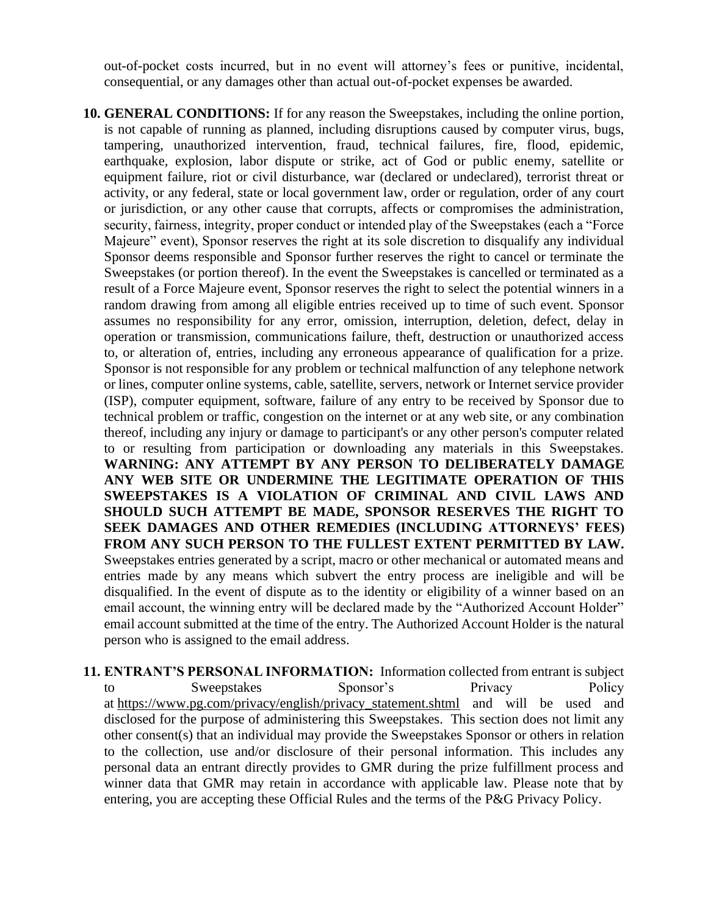out-of-pocket costs incurred, but in no event will attorney's fees or punitive, incidental, consequential, or any damages other than actual out-of-pocket expenses be awarded.

- **10. GENERAL CONDITIONS:** If for any reason the Sweepstakes, including the online portion, is not capable of running as planned, including disruptions caused by computer virus, bugs, tampering, unauthorized intervention, fraud, technical failures, fire, flood, epidemic, earthquake, explosion, labor dispute or strike, act of God or public enemy, satellite or equipment failure, riot or civil disturbance, war (declared or undeclared), terrorist threat or activity, or any federal, state or local government law, order or regulation, order of any court or jurisdiction, or any other cause that corrupts, affects or compromises the administration, security, fairness, integrity, proper conduct or intended play of the Sweepstakes (each a "Force Majeure" event), Sponsor reserves the right at its sole discretion to disqualify any individual Sponsor deems responsible and Sponsor further reserves the right to cancel or terminate the Sweepstakes (or portion thereof). In the event the Sweepstakes is cancelled or terminated as a result of a Force Majeure event, Sponsor reserves the right to select the potential winners in a random drawing from among all eligible entries received up to time of such event. Sponsor assumes no responsibility for any error, omission, interruption, deletion, defect, delay in operation or transmission, communications failure, theft, destruction or unauthorized access to, or alteration of, entries, including any erroneous appearance of qualification for a prize. Sponsor is not responsible for any problem or technical malfunction of any telephone network or lines, computer online systems, cable, satellite, servers, network or Internet service provider (ISP), computer equipment, software, failure of any entry to be received by Sponsor due to technical problem or traffic, congestion on the internet or at any web site, or any combination thereof, including any injury or damage to participant's or any other person's computer related to or resulting from participation or downloading any materials in this Sweepstakes. **WARNING: ANY ATTEMPT BY ANY PERSON TO DELIBERATELY DAMAGE ANY WEB SITE OR UNDERMINE THE LEGITIMATE OPERATION OF THIS SWEEPSTAKES IS A VIOLATION OF CRIMINAL AND CIVIL LAWS AND SHOULD SUCH ATTEMPT BE MADE, SPONSOR RESERVES THE RIGHT TO SEEK DAMAGES AND OTHER REMEDIES (INCLUDING ATTORNEYS' FEES) FROM ANY SUCH PERSON TO THE FULLEST EXTENT PERMITTED BY LAW.**  Sweepstakes entries generated by a script, macro or other mechanical or automated means and entries made by any means which subvert the entry process are ineligible and will be disqualified. In the event of dispute as to the identity or eligibility of a winner based on an email account, the winning entry will be declared made by the "Authorized Account Holder" email account submitted at the time of the entry. The Authorized Account Holder is the natural person who is assigned to the email address.
- **11. ENTRANT'S PERSONAL INFORMATION:** Information collected from entrant is subject to Sweepstakes Sponsor's Privacy Policy Policy at [https://www.pg.com/privacy/english/privacy\\_statement.shtml](https://urldefense.com/v3/__https:/www.pg.com/privacy/english/privacy_statement.shtml__;!!HhhKMSGjjQV-!uAhhGV1bXF1JxGFJ8ahhsR0aLpcmFAlvGaBA07rHCaaUiDlx-EwaSBS1dOKtBvh4qEg$) and will be used and disclosed for the purpose of administering this Sweepstakes. This section does not limit any other consent(s) that an individual may provide the Sweepstakes Sponsor or others in relation to the collection, use and/or disclosure of their personal information. This includes any personal data an entrant directly provides to GMR during the prize fulfillment process and winner data that GMR may retain in accordance with applicable law. Please note that by entering, you are accepting these Official Rules and the terms of the P&G Privacy Policy.